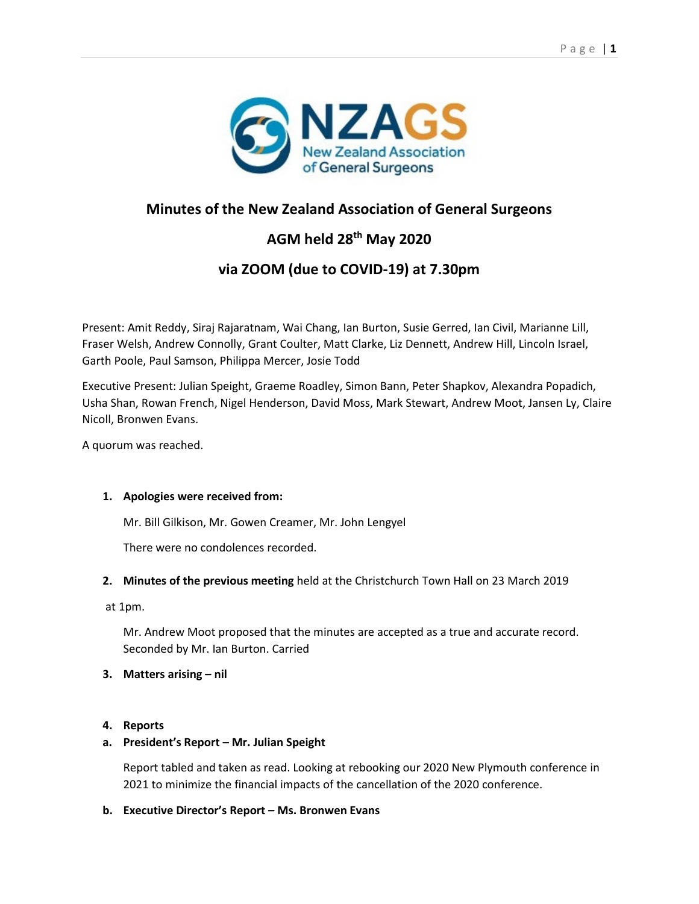

# **Minutes of the New Zealand Association of General Surgeons**

# **AGM held 28th May 2020**

# **via ZOOM (due to COVID-19) at 7.30pm**

Present: Amit Reddy, Siraj Rajaratnam, Wai Chang, Ian Burton, Susie Gerred, Ian Civil, Marianne Lill, Fraser Welsh, Andrew Connolly, Grant Coulter, Matt Clarke, Liz Dennett, Andrew Hill, Lincoln Israel, Garth Poole, Paul Samson, Philippa Mercer, Josie Todd

Executive Present: Julian Speight, Graeme Roadley, Simon Bann, Peter Shapkov, Alexandra Popadich, Usha Shan, Rowan French, Nigel Henderson, David Moss, Mark Stewart, Andrew Moot, Jansen Ly, Claire Nicoll, Bronwen Evans.

A quorum was reached.

## **1. Apologies were received from:**

Mr. Bill Gilkison, Mr. Gowen Creamer, Mr. John Lengyel

There were no condolences recorded.

**2. Minutes of the previous meeting** held at the Christchurch Town Hall on 23 March 2019

at 1pm.

Mr. Andrew Moot proposed that the minutes are accepted as a true and accurate record. Seconded by Mr. Ian Burton. Carried

## **3. Matters arising – nil**

## **4. Reports**

## **a. President's Report – Mr. Julian Speight**

Report tabled and taken as read. Looking at rebooking our 2020 New Plymouth conference in 2021 to minimize the financial impacts of the cancellation of the 2020 conference.

## **b. Executive Director's Report – Ms. Bronwen Evans**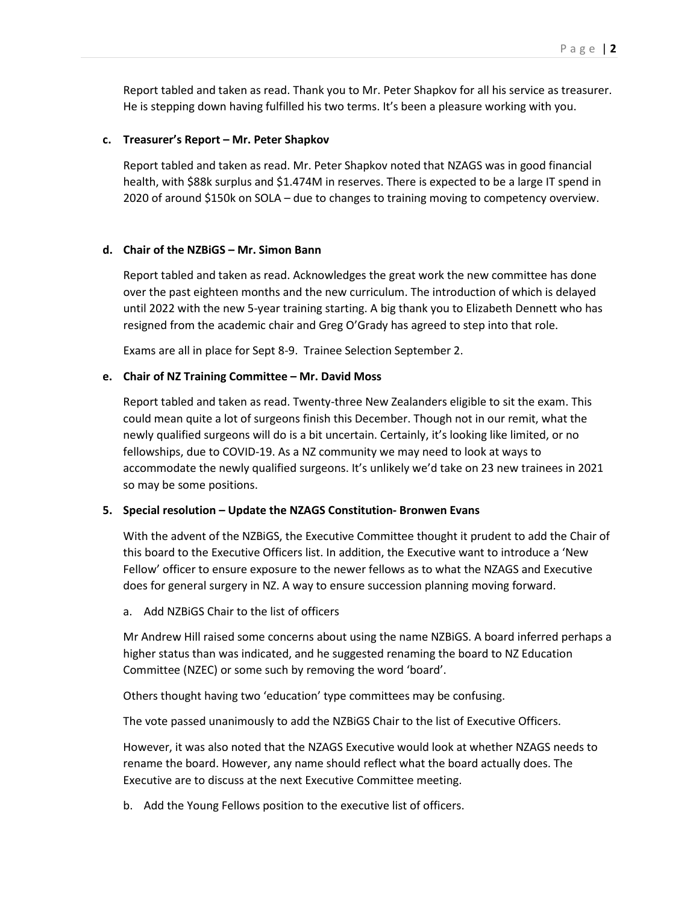Report tabled and taken as read. Thank you to Mr. Peter Shapkov for all his service as treasurer. He is stepping down having fulfilled his two terms. It's been a pleasure working with you.

#### **c. Treasurer's Report – Mr. Peter Shapkov**

Report tabled and taken as read. Mr. Peter Shapkov noted that NZAGS was in good financial health, with \$88k surplus and \$1.474M in reserves. There is expected to be a large IT spend in 2020 of around \$150k on SOLA – due to changes to training moving to competency overview.

#### **d. Chair of the NZBiGS – Mr. Simon Bann**

Report tabled and taken as read. Acknowledges the great work the new committee has done over the past eighteen months and the new curriculum. The introduction of which is delayed until 2022 with the new 5-year training starting. A big thank you to Elizabeth Dennett who has resigned from the academic chair and Greg O'Grady has agreed to step into that role.

Exams are all in place for Sept 8-9. Trainee Selection September 2.

#### **e. Chair of NZ Training Committee – Mr. David Moss**

Report tabled and taken as read. Twenty-three New Zealanders eligible to sit the exam. This could mean quite a lot of surgeons finish this December. Though not in our remit, what the newly qualified surgeons will do is a bit uncertain. Certainly, it's looking like limited, or no fellowships, due to COVID-19. As a NZ community we may need to look at ways to accommodate the newly qualified surgeons. It's unlikely we'd take on 23 new trainees in 2021 so may be some positions.

#### **5. Special resolution – Update the NZAGS Constitution- Bronwen Evans**

With the advent of the NZBiGS, the Executive Committee thought it prudent to add the Chair of this board to the Executive Officers list. In addition, the Executive want to introduce a 'New Fellow' officer to ensure exposure to the newer fellows as to what the NZAGS and Executive does for general surgery in NZ. A way to ensure succession planning moving forward.

a. Add NZBiGS Chair to the list of officers

Mr Andrew Hill raised some concerns about using the name NZBiGS. A board inferred perhaps a higher status than was indicated, and he suggested renaming the board to NZ Education Committee (NZEC) or some such by removing the word 'board'.

Others thought having two 'education' type committees may be confusing.

The vote passed unanimously to add the NZBiGS Chair to the list of Executive Officers.

However, it was also noted that the NZAGS Executive would look at whether NZAGS needs to rename the board. However, any name should reflect what the board actually does. The Executive are to discuss at the next Executive Committee meeting.

b. Add the Young Fellows position to the executive list of officers.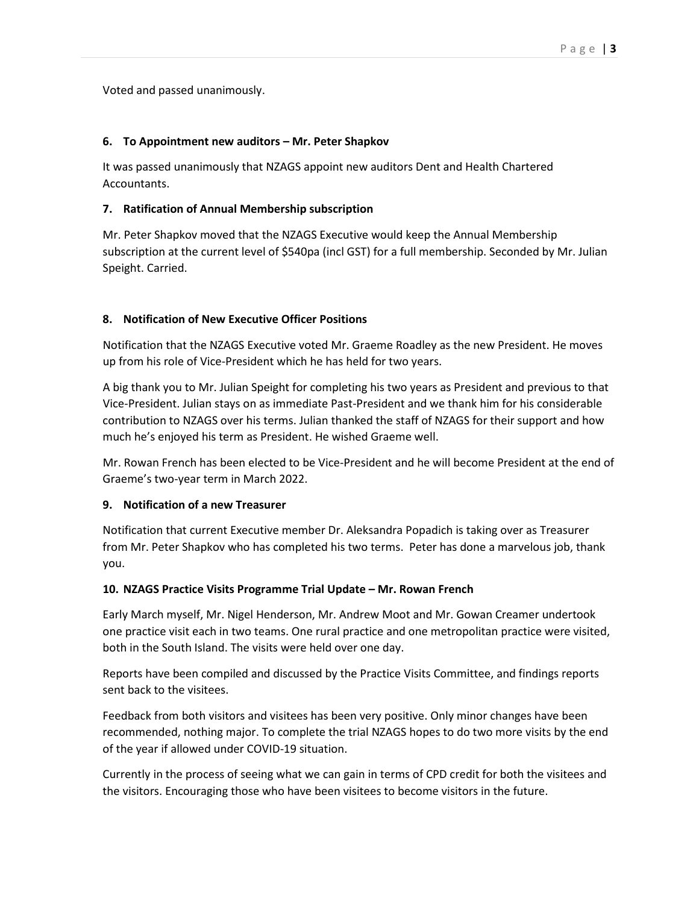Voted and passed unanimously.

# **6. To Appointment new auditors – Mr. Peter Shapkov**

It was passed unanimously that NZAGS appoint new auditors Dent and Health Chartered Accountants.

# **7. Ratification of Annual Membership subscription**

Mr. Peter Shapkov moved that the NZAGS Executive would keep the Annual Membership subscription at the current level of \$540pa (incl GST) for a full membership. Seconded by Mr. Julian Speight. Carried.

# **8. Notification of New Executive Officer Positions**

Notification that the NZAGS Executive voted Mr. Graeme Roadley as the new President. He moves up from his role of Vice-President which he has held for two years.

A big thank you to Mr. Julian Speight for completing his two years as President and previous to that Vice-President. Julian stays on as immediate Past-President and we thank him for his considerable contribution to NZAGS over his terms. Julian thanked the staff of NZAGS for their support and how much he's enjoyed his term as President. He wished Graeme well.

Mr. Rowan French has been elected to be Vice-President and he will become President at the end of Graeme's two-year term in March 2022.

## **9. Notification of a new Treasurer**

Notification that current Executive member Dr. Aleksandra Popadich is taking over as Treasurer from Mr. Peter Shapkov who has completed his two terms. Peter has done a marvelous job, thank you.

# **10. NZAGS Practice Visits Programme Trial Update – Mr. Rowan French**

Early March myself, Mr. Nigel Henderson, Mr. Andrew Moot and Mr. Gowan Creamer undertook one practice visit each in two teams. One rural practice and one metropolitan practice were visited, both in the South Island. The visits were held over one day.

Reports have been compiled and discussed by the Practice Visits Committee, and findings reports sent back to the visitees.

Feedback from both visitors and visitees has been very positive. Only minor changes have been recommended, nothing major. To complete the trial NZAGS hopes to do two more visits by the end of the year if allowed under COVID-19 situation.

Currently in the process of seeing what we can gain in terms of CPD credit for both the visitees and the visitors. Encouraging those who have been visitees to become visitors in the future.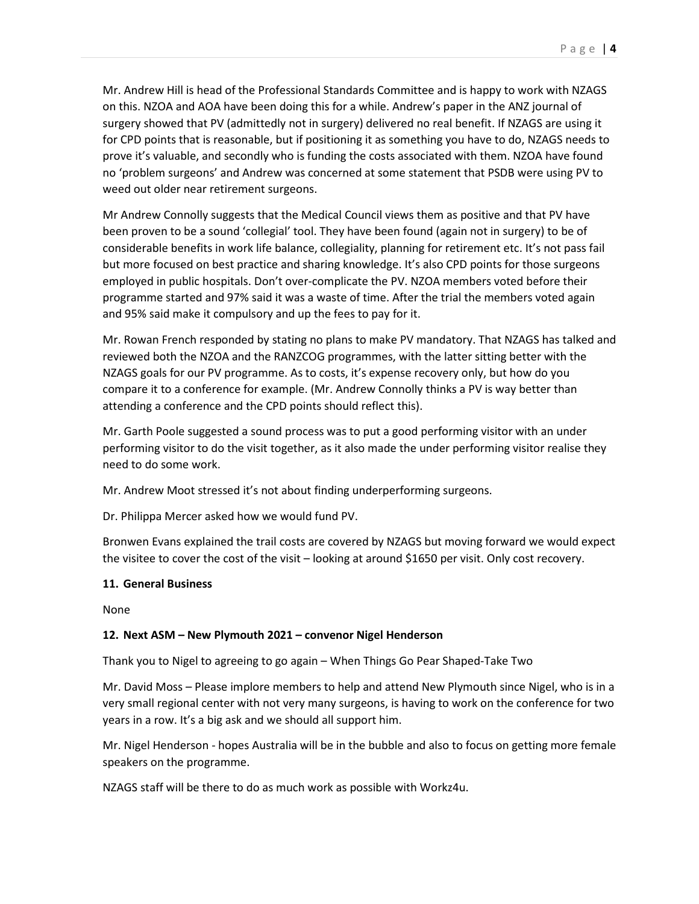Mr. Andrew Hill is head of the Professional Standards Committee and is happy to work with NZAGS on this. NZOA and AOA have been doing this for a while. Andrew's paper in the ANZ journal of surgery showed that PV (admittedly not in surgery) delivered no real benefit. If NZAGS are using it for CPD points that is reasonable, but if positioning it as something you have to do, NZAGS needs to prove it's valuable, and secondly who is funding the costs associated with them. NZOA have found no 'problem surgeons' and Andrew was concerned at some statement that PSDB were using PV to weed out older near retirement surgeons.

Mr Andrew Connolly suggests that the Medical Council views them as positive and that PV have been proven to be a sound 'collegial' tool. They have been found (again not in surgery) to be of considerable benefits in work life balance, collegiality, planning for retirement etc. It's not pass fail but more focused on best practice and sharing knowledge. It's also CPD points for those surgeons employed in public hospitals. Don't over-complicate the PV. NZOA members voted before their programme started and 97% said it was a waste of time. After the trial the members voted again and 95% said make it compulsory and up the fees to pay for it.

Mr. Rowan French responded by stating no plans to make PV mandatory. That NZAGS has talked and reviewed both the NZOA and the RANZCOG programmes, with the latter sitting better with the NZAGS goals for our PV programme. As to costs, it's expense recovery only, but how do you compare it to a conference for example. (Mr. Andrew Connolly thinks a PV is way better than attending a conference and the CPD points should reflect this).

Mr. Garth Poole suggested a sound process was to put a good performing visitor with an under performing visitor to do the visit together, as it also made the under performing visitor realise they need to do some work.

Mr. Andrew Moot stressed it's not about finding underperforming surgeons.

Dr. Philippa Mercer asked how we would fund PV.

Bronwen Evans explained the trail costs are covered by NZAGS but moving forward we would expect the visitee to cover the cost of the visit – looking at around \$1650 per visit. Only cost recovery.

#### **11. General Business**

None

## **12. Next ASM – New Plymouth 2021 – convenor Nigel Henderson**

Thank you to Nigel to agreeing to go again – When Things Go Pear Shaped-Take Two

Mr. David Moss – Please implore members to help and attend New Plymouth since Nigel, who is in a very small regional center with not very many surgeons, is having to work on the conference for two years in a row. It's a big ask and we should all support him.

Mr. Nigel Henderson - hopes Australia will be in the bubble and also to focus on getting more female speakers on the programme.

NZAGS staff will be there to do as much work as possible with Workz4u.